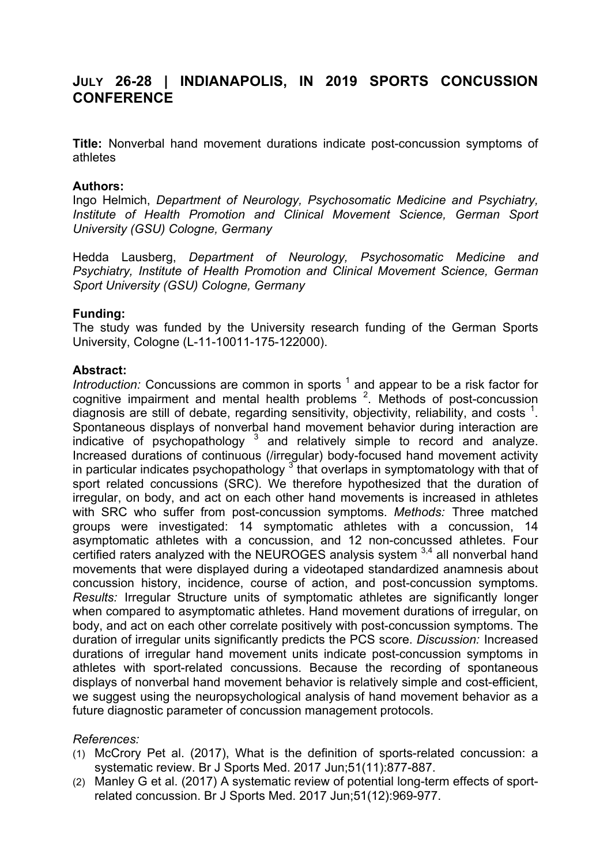# **JULY 26-28 | INDIANAPOLIS, IN 2019 SPORTS CONCUSSION CONFERENCE**

**Title:** Nonverbal hand movement durations indicate post-concussion symptoms of athletes

## **Authors:**

Ingo Helmich, *Department of Neurology, Psychosomatic Medicine and Psychiatry, Institute of Health Promotion and Clinical Movement Science, German Sport University (GSU) Cologne, Germany*

Hedda Lausberg, *Department of Neurology, Psychosomatic Medicine and Psychiatry, Institute of Health Promotion and Clinical Movement Science, German Sport University (GSU) Cologne, Germany*

# **Funding:**

The study was funded by the University research funding of the German Sports University, Cologne (L-11-10011-175-122000).

## **Abstract:**

*Introduction:* Concussions are common in sports <sup>1</sup> and appear to be a risk factor for cognitive impairment and mental health problems  $2$ . Methods of post-concussion diagnosis are still of debate, regarding sensitivity, objectivity, reliability, and costs  $1$ . Spontaneous displays of nonverbal hand movement behavior during interaction are indicative of psychopathology  $3$  and relatively simple to record and analyze. Increased durations of continuous (/irregular) body-focused hand movement activity in particular indicates psychopathology  $3$  that overlaps in symptomatology with that of sport related concussions (SRC). We therefore hypothesized that the duration of irregular, on body, and act on each other hand movements is increased in athletes with SRC who suffer from post-concussion symptoms. *Methods:* Three matched groups were investigated: 14 symptomatic athletes with a concussion, 14 asymptomatic athletes with a concussion, and 12 non-concussed athletes. Four certified raters analyzed with the NEUROGES analysis system 3,4 all nonverbal hand movements that were displayed during a videotaped standardized anamnesis about concussion history, incidence, course of action, and post-concussion symptoms. *Results:* Irregular Structure units of symptomatic athletes are significantly longer when compared to asymptomatic athletes. Hand movement durations of irregular, on body, and act on each other correlate positively with post-concussion symptoms. The duration of irregular units significantly predicts the PCS score. *Discussion:* Increased durations of irregular hand movement units indicate post-concussion symptoms in athletes with sport-related concussions. Because the recording of spontaneous displays of nonverbal hand movement behavior is relatively simple and cost-efficient, we suggest using the neuropsychological analysis of hand movement behavior as a future diagnostic parameter of concussion management protocols.

#### *References:*

- (1) McCrory Pet al. (2017), What is the definition of sports-related concussion: a systematic review. Br J Sports Med. 2017 Jun;51(11):877-887.
- (2) Manley G et al. (2017) A systematic review of potential long-term effects of sportrelated concussion. Br J Sports Med. 2017 Jun;51(12):969-977.